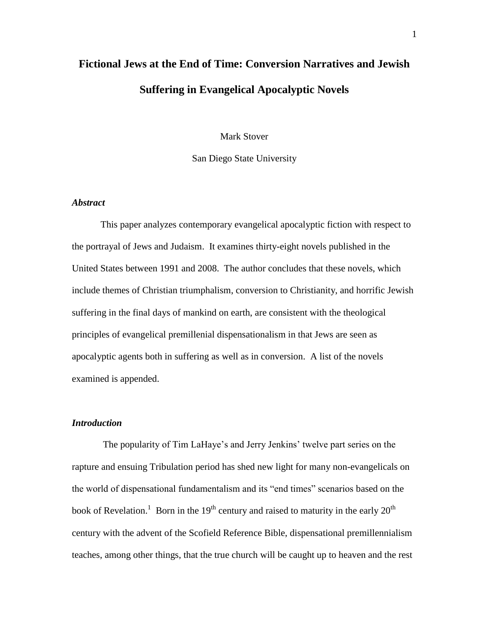# **Fictional Jews at the End of Time: Conversion Narratives and Jewish Suffering in Evangelical Apocalyptic Novels**

Mark Stover

San Diego State University

# *Abstract*

This paper analyzes contemporary evangelical apocalyptic fiction with respect to the portrayal of Jews and Judaism. It examines thirty-eight novels published in the United States between 1991 and 2008. The author concludes that these novels, which include themes of Christian triumphalism, conversion to Christianity, and horrific Jewish suffering in the final days of mankind on earth, are consistent with the theological principles of evangelical premillenial dispensationalism in that Jews are seen as apocalyptic agents both in suffering as well as in conversion. A list of the novels examined is appended.

# *Introduction*

The popularity of Tim LaHaye's and Jerry Jenkins' twelve part series on the rapture and ensuing Tribulation period has shed new light for many non-evangelicals on the world of dispensational fundamentalism and its "end times" scenarios based on the book of Revelation.<sup>1</sup> Born in the 19<sup>th</sup> century and raised to maturity in the early 20<sup>th</sup> century with the advent of the Scofield Reference Bible, dispensational premillennialism teaches, among other things, that the true church will be caught up to heaven and the rest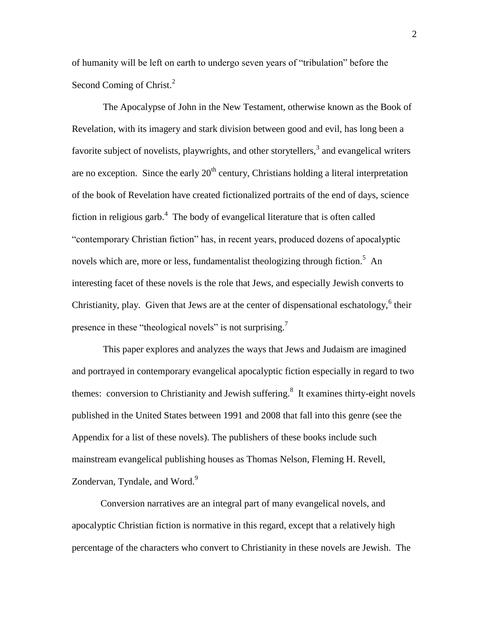of humanity will be left on earth to undergo seven years of "tribulation" before the Second Coming of Christ.<sup>2</sup>

The Apocalypse of John in the New Testament, otherwise known as the Book of Revelation, with its imagery and stark division between good and evil, has long been a favorite subject of novelists, playwrights, and other storytellers,<sup>3</sup> and evangelical writers are no exception. Since the early  $20<sup>th</sup>$  century, Christians holding a literal interpretation of the book of Revelation have created fictionalized portraits of the end of days, science fiction in religious garb.<sup>4</sup> The body of evangelical literature that is often called "contemporary Christian fiction" has, in recent years, produced dozens of apocalyptic novels which are, more or less, fundamentalist theologizing through fiction.<sup>5</sup> An interesting facet of these novels is the role that Jews, and especially Jewish converts to Christianity, play. Given that Jews are at the center of dispensational eschatology,  $6$  their presence in these "theological novels" is not surprising.<sup>7</sup>

This paper explores and analyzes the ways that Jews and Judaism are imagined and portrayed in contemporary evangelical apocalyptic fiction especially in regard to two themes: conversion to Christianity and Jewish suffering.<sup>8</sup> It examines thirty-eight novels published in the United States between 1991 and 2008 that fall into this genre (see the Appendix for a list of these novels). The publishers of these books include such mainstream evangelical publishing houses as Thomas Nelson, Fleming H. Revell, Zondervan, Tyndale, and Word.<sup>9</sup>

Conversion narratives are an integral part of many evangelical novels, and apocalyptic Christian fiction is normative in this regard, except that a relatively high percentage of the characters who convert to Christianity in these novels are Jewish. The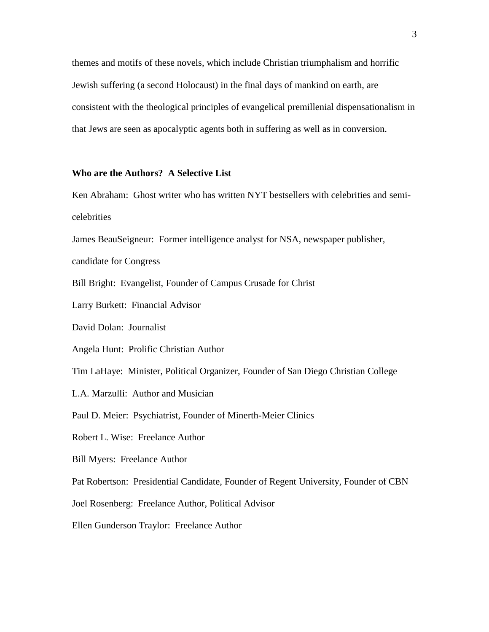themes and motifs of these novels, which include Christian triumphalism and horrific Jewish suffering (a second Holocaust) in the final days of mankind on earth, are consistent with the theological principles of evangelical premillenial dispensationalism in that Jews are seen as apocalyptic agents both in suffering as well as in conversion.

# **Who are the Authors? A Selective List**

Ken Abraham: Ghost writer who has written NYT bestsellers with celebrities and semicelebrities

James BeauSeigneur: Former intelligence analyst for NSA, newspaper publisher,

candidate for Congress

Bill Bright: Evangelist, Founder of Campus Crusade for Christ

Larry Burkett: Financial Advisor

David Dolan: Journalist

Angela Hunt: Prolific Christian Author

Tim LaHaye: Minister, Political Organizer, Founder of San Diego Christian College

L.A. Marzulli: Author and Musician

Paul D. Meier: Psychiatrist, Founder of Minerth-Meier Clinics

Robert L. Wise: Freelance Author

Bill Myers: Freelance Author

Pat Robertson: Presidential Candidate, Founder of Regent University, Founder of CBN

Joel Rosenberg: Freelance Author, Political Advisor

Ellen Gunderson Traylor: Freelance Author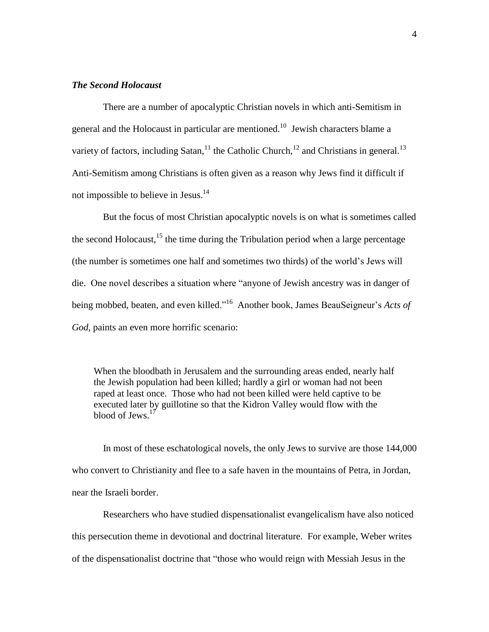# *The Second Holocaust*

There are a number of apocalyptic Christian novels in which anti-Semitism in general and the Holocaust in particular are mentioned.<sup>10</sup> Jewish characters blame a variety of factors, including Satan,  $^{11}$  the Catholic Church,  $^{12}$  and Christians in general.  $^{13}$ Anti-Semitism among Christians is often given as a reason why Jews find it difficult if not impossible to believe in Jesus.<sup>14</sup>

But the focus of most Christian apocalyptic novels is on what is sometimes called the second Holocaust,  $^{15}$  the time during the Tribulation period when a large percentage (the number is sometimes one half and sometimes two thirds) of the world's Jews will die. One novel describes a situation where "anyone of Jewish ancestry was in danger of being mobbed, beaten, and even killed."<sup>16</sup> Another book, James BeauSeigneur's *Acts of God*, paints an even more horrific scenario:

When the bloodbath in Jerusalem and the surrounding areas ended, nearly half the Jewish population had been killed; hardly a girl or woman had not been raped at least once. Those who had not been killed were held captive to be executed later by guillotine so that the Kidron Valley would flow with the blood of Jews.<sup>17</sup>

In most of these eschatological novels, the only Jews to survive are those 144,000 who convert to Christianity and flee to a safe haven in the mountains of Petra, in Jordan, near the Israeli border.

Researchers who have studied dispensationalist evangelicalism have also noticed this persecution theme in devotional and doctrinal literature. For example, Weber writes of the dispensationalist doctrine that "those who would reign with Messiah Jesus in the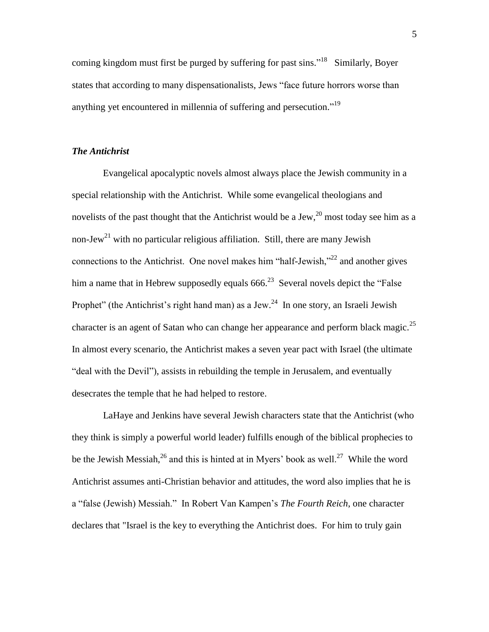coming kingdom must first be purged by suffering for past sins."<sup>18</sup> Similarly, Boyer states that according to many dispensationalists, Jews "face future horrors worse than anything yet encountered in millennia of suffering and persecution."<sup>19</sup>

## *The Antichrist*

Evangelical apocalyptic novels almost always place the Jewish community in a special relationship with the Antichrist. While some evangelical theologians and novelists of the past thought that the Antichrist would be a Jew,  $^{20}$  most today see him as a non-Jew<sup>21</sup> with no particular religious affiliation. Still, there are many Jewish connections to the Antichrist. One novel makes him "half-Jewish,"<sup>22</sup> and another gives him a name that in Hebrew supposedly equals  $666.^{23}$  Several novels depict the "False" Prophet" (the Antichrist's right hand man) as a Jew.<sup>24</sup> In one story, an Israeli Jewish character is an agent of Satan who can change her appearance and perform black magic.<sup>25</sup> In almost every scenario, the Antichrist makes a seven year pact with Israel (the ultimate "deal with the Devil"), assists in rebuilding the temple in Jerusalem, and eventually desecrates the temple that he had helped to restore.

LaHaye and Jenkins have several Jewish characters state that the Antichrist (who they think is simply a powerful world leader) fulfills enough of the biblical prophecies to be the Jewish Messiah,  $^{26}$  and this is hinted at in Myers' book as well.<sup>27</sup> While the word Antichrist assumes anti-Christian behavior and attitudes, the word also implies that he is a "false (Jewish) Messiah." In Robert Van Kampen's *The Fourth Reich*, one character declares that "Israel is the key to everything the Antichrist does. For him to truly gain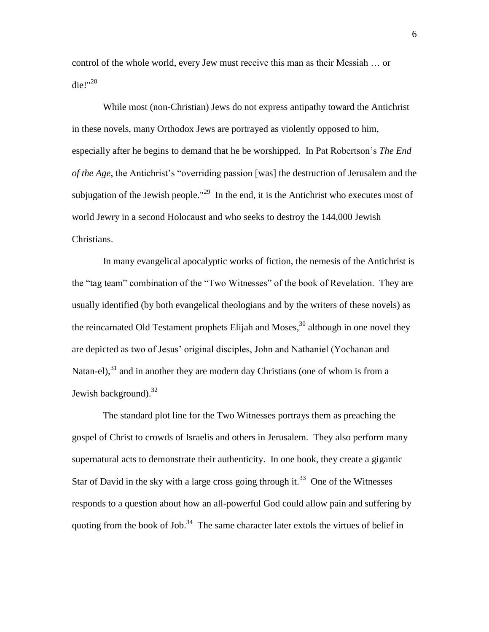control of the whole world, every Jew must receive this man as their Messiah … or die!" $^{28}$ 

While most (non-Christian) Jews do not express antipathy toward the Antichrist in these novels, many Orthodox Jews are portrayed as violently opposed to him, especially after he begins to demand that he be worshipped. In Pat Robertson's *The End of the Age*, the Antichrist's "overriding passion [was] the destruction of Jerusalem and the subjugation of the Jewish people."<sup>29</sup> In the end, it is the Antichrist who executes most of world Jewry in a second Holocaust and who seeks to destroy the 144,000 Jewish Christians.

In many evangelical apocalyptic works of fiction, the nemesis of the Antichrist is the "tag team" combination of the "Two Witnesses" of the book of Revelation. They are usually identified (by both evangelical theologians and by the writers of these novels) as the reincarnated Old Testament prophets Elijah and Moses, $30$  although in one novel they are depicted as two of Jesus' original disciples, John and Nathaniel (Yochanan and Natan-el), $31$  and in another they are modern day Christians (one of whom is from a Jewish background). $32$ 

The standard plot line for the Two Witnesses portrays them as preaching the gospel of Christ to crowds of Israelis and others in Jerusalem. They also perform many supernatural acts to demonstrate their authenticity. In one book, they create a gigantic Star of David in the sky with a large cross going through it.<sup>33</sup> One of the Witnesses responds to a question about how an all-powerful God could allow pain and suffering by quoting from the book of Job.<sup>34</sup> The same character later extols the virtues of belief in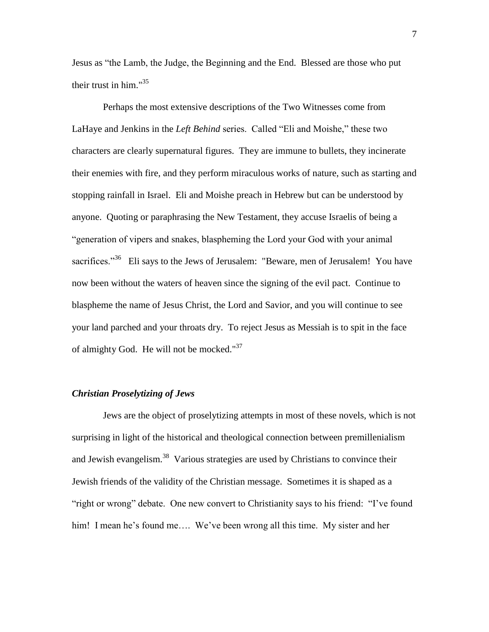Jesus as "the Lamb, the Judge, the Beginning and the End. Blessed are those who put their trust in him." $35$ 

Perhaps the most extensive descriptions of the Two Witnesses come from LaHaye and Jenkins in the *Left Behind* series. Called "Eli and Moishe," these two characters are clearly supernatural figures. They are immune to bullets, they incinerate their enemies with fire, and they perform miraculous works of nature, such as starting and stopping rainfall in Israel. Eli and Moishe preach in Hebrew but can be understood by anyone. Quoting or paraphrasing the New Testament, they accuse Israelis of being a "generation of vipers and snakes, blaspheming the Lord your God with your animal sacrifices."<sup>36</sup> Eli says to the Jews of Jerusalem: "Beware, men of Jerusalem! You have now been without the waters of heaven since the signing of the evil pact. Continue to blaspheme the name of Jesus Christ, the Lord and Savior, and you will continue to see your land parched and your throats dry. To reject Jesus as Messiah is to spit in the face of almighty God. He will not be mocked." $37$ 

# *Christian Proselytizing of Jews*

Jews are the object of proselytizing attempts in most of these novels, which is not surprising in light of the historical and theological connection between premillenialism and Jewish evangelism.<sup>38</sup> Various strategies are used by Christians to convince their Jewish friends of the validity of the Christian message. Sometimes it is shaped as a "right or wrong" debate. One new convert to Christianity says to his friend: "I've found him! I mean he's found me.... We've been wrong all this time. My sister and her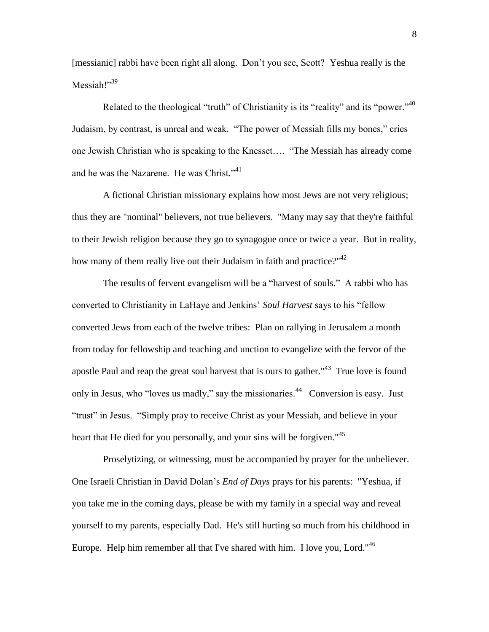[messianic] rabbi have been right all along. Don't you see, Scott? Yeshua really is the Messiah!"<sup>39</sup>

Related to the theological "truth" of Christianity is its "reality" and its "power." <sup>40</sup> Judaism, by contrast, is unreal and weak. "The power of Messiah fills my bones," cries one Jewish Christian who is speaking to the Knesset…. "The Messiah has already come and he was the Nazarene. He was Christ."<sup>41</sup>

A fictional Christian missionary explains how most Jews are not very religious; thus they are "nominal" believers, not true believers. "Many may say that they're faithful to their Jewish religion because they go to synagogue once or twice a year. But in reality, how many of them really live out their Judaism in faith and practice?"<sup>42</sup>

The results of fervent evangelism will be a "harvest of souls." A rabbi who has converted to Christianity in LaHaye and Jenkins' *Soul Harvest* says to his "fellow converted Jews from each of the twelve tribes: Plan on rallying in Jerusalem a month from today for fellowship and teaching and unction to evangelize with the fervor of the apostle Paul and reap the great soul harvest that is ours to gather."<sup>43</sup> True love is found only in Jesus, who "loves us madly," say the missionaries. $44$  Conversion is easy. Just "trust" in Jesus. "Simply pray to receive Christ as your Messiah, and believe in your heart that He died for you personally, and your sins will be forgiven."<sup>45</sup>

Proselytizing, or witnessing, must be accompanied by prayer for the unbeliever. One Israeli Christian in David Dolan's *End of Days* prays for his parents: "Yeshua, if you take me in the coming days, please be with my family in a special way and reveal yourself to my parents, especially Dad. He's still hurting so much from his childhood in Europe. Help him remember all that I've shared with him. I love you, Lord."<sup>46</sup>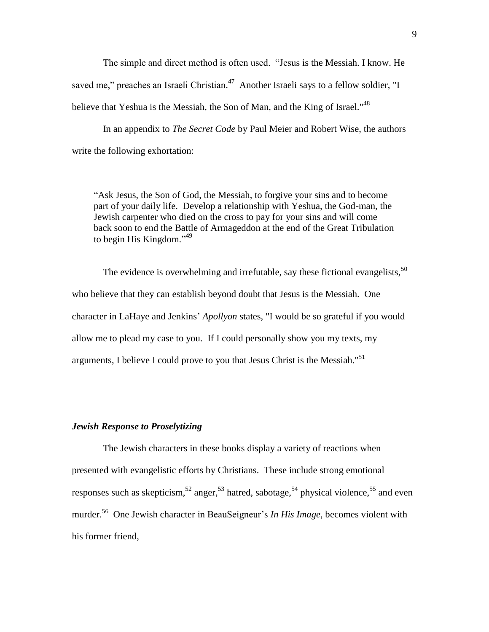The simple and direct method is often used. "Jesus is the Messiah. I know. He saved me," preaches an Israeli Christian.<sup>47</sup> Another Israeli says to a fellow soldier, "I believe that Yeshua is the Messiah, the Son of Man, and the King of Israel."<sup>48</sup>

In an appendix to *The Secret Code* by Paul Meier and Robert Wise, the authors write the following exhortation:

"Ask Jesus, the Son of God, the Messiah, to forgive your sins and to become part of your daily life. Develop a relationship with Yeshua, the God-man, the Jewish carpenter who died on the cross to pay for your sins and will come back soon to end the Battle of Armageddon at the end of the Great Tribulation to begin His Kingdom."<sup>49</sup>

The evidence is overwhelming and irrefutable, say these fictional evangelists,  $50$ who believe that they can establish beyond doubt that Jesus is the Messiah. One character in LaHaye and Jenkins' *Apollyon* states, "I would be so grateful if you would allow me to plead my case to you. If I could personally show you my texts, my arguments, I believe I could prove to you that Jesus Christ is the Messiah."<sup>51</sup>

#### *Jewish Response to Proselytizing*

The Jewish characters in these books display a variety of reactions when presented with evangelistic efforts by Christians. These include strong emotional responses such as skepticism,<sup>52</sup> anger,<sup>53</sup> hatred, sabotage,<sup>54</sup> physical violence,<sup>55</sup> and even murder.<sup>56</sup> One Jewish character in BeauSeigneur's *In His Image*, becomes violent with his former friend,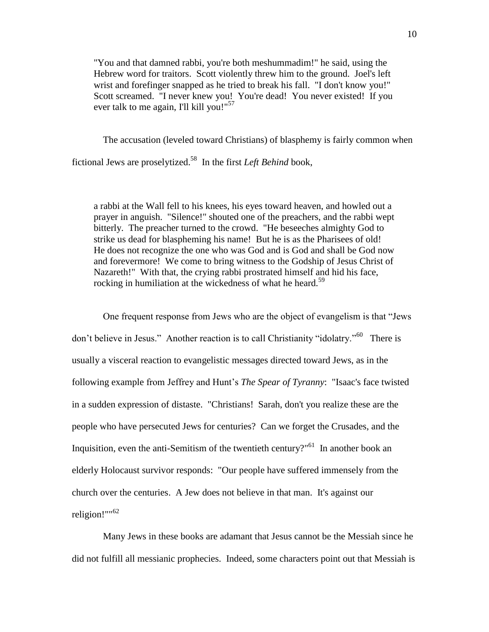"You and that damned rabbi, you're both meshummadim!" he said, using the Hebrew word for traitors. Scott violently threw him to the ground. Joel's left wrist and forefinger snapped as he tried to break his fall. "I don't know you!" Scott screamed. "I never knew you! You're dead! You never existed! If you ever talk to me again, I'll kill you!"<sup>57</sup>

The accusation (leveled toward Christians) of blasphemy is fairly common when

fictional Jews are proselytized.<sup>58</sup> In the first *Left Behind* book,

a rabbi at the Wall fell to his knees, his eyes toward heaven, and howled out a prayer in anguish. "Silence!" shouted one of the preachers, and the rabbi wept bitterly. The preacher turned to the crowd. "He beseeches almighty God to strike us dead for blaspheming his name! But he is as the Pharisees of old! He does not recognize the one who was God and is God and shall be God now and forevermore! We come to bring witness to the Godship of Jesus Christ of Nazareth!" With that, the crying rabbi prostrated himself and hid his face, rocking in humiliation at the wickedness of what he heard.<sup>59</sup>

One frequent response from Jews who are the object of evangelism is that "Jews don't believe in Jesus." Another reaction is to call Christianity "idolatry."<sup>60</sup> There is usually a visceral reaction to evangelistic messages directed toward Jews, as in the following example from Jeffrey and Hunt's *The Spear of Tyranny*: "Isaac's face twisted in a sudden expression of distaste. "Christians! Sarah, don't you realize these are the people who have persecuted Jews for centuries? Can we forget the Crusades, and the Inquisition, even the anti-Semitism of the twentieth century?"<sup>61</sup> In another book an elderly Holocaust survivor responds: "Our people have suffered immensely from the church over the centuries. A Jew does not believe in that man. It's against our religion!""<sup>62</sup>

Many Jews in these books are adamant that Jesus cannot be the Messiah since he did not fulfill all messianic prophecies. Indeed, some characters point out that Messiah is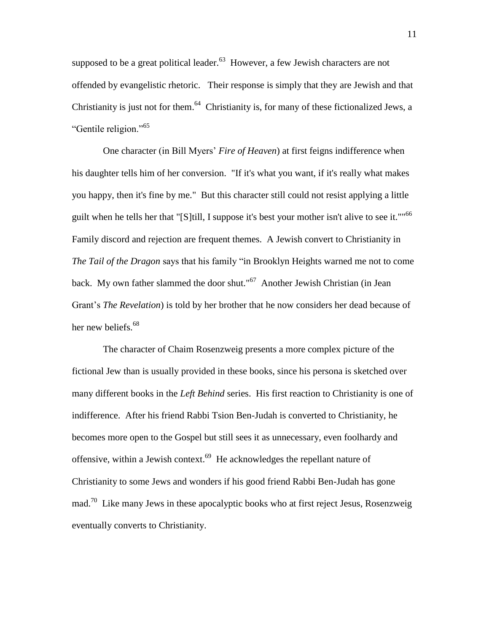supposed to be a great political leader. $63$  However, a few Jewish characters are not offended by evangelistic rhetoric. Their response is simply that they are Jewish and that Christianity is just not for them. $^{64}$  Christianity is, for many of these fictionalized Jews, a "Gentile religion."<sup>65</sup>

One character (in Bill Myers' *Fire of Heaven*) at first feigns indifference when his daughter tells him of her conversion. "If it's what you want, if it's really what makes you happy, then it's fine by me." But this character still could not resist applying a little guilt when he tells her that "[S]till, I suppose it's best your mother isn't alive to see it.""<sup>66</sup> Family discord and rejection are frequent themes. A Jewish convert to Christianity in *The Tail of the Dragon* says that his family "in Brooklyn Heights warned me not to come back. My own father slammed the door shut."<sup>67</sup> Another Jewish Christian (in Jean Grant's *The Revelation*) is told by her brother that he now considers her dead because of her new beliefs.<sup>68</sup>

The character of Chaim Rosenzweig presents a more complex picture of the fictional Jew than is usually provided in these books, since his persona is sketched over many different books in the *Left Behind* series. His first reaction to Christianity is one of indifference. After his friend Rabbi Tsion Ben-Judah is converted to Christianity, he becomes more open to the Gospel but still sees it as unnecessary, even foolhardy and offensive, within a Jewish context.<sup>69</sup> He acknowledges the repellant nature of Christianity to some Jews and wonders if his good friend Rabbi Ben-Judah has gone mad.<sup>70</sup> Like many Jews in these apocalyptic books who at first reject Jesus, Rosenzweig eventually converts to Christianity.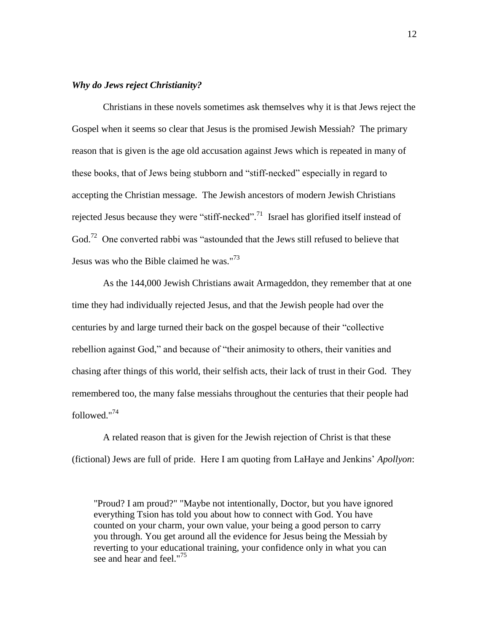# *Why do Jews reject Christianity?*

Christians in these novels sometimes ask themselves why it is that Jews reject the Gospel when it seems so clear that Jesus is the promised Jewish Messiah? The primary reason that is given is the age old accusation against Jews which is repeated in many of these books, that of Jews being stubborn and "stiff-necked" especially in regard to accepting the Christian message. The Jewish ancestors of modern Jewish Christians rejected Jesus because they were "stiff-necked".<sup>71</sup> Israel has glorified itself instead of God.<sup>72</sup> One converted rabbi was "astounded that the Jews still refused to believe that Jesus was who the Bible claimed he was."<sup>73</sup>

As the 144,000 Jewish Christians await Armageddon, they remember that at one time they had individually rejected Jesus, and that the Jewish people had over the centuries by and large turned their back on the gospel because of their "collective rebellion against God," and because of "their animosity to others, their vanities and chasing after things of this world, their selfish acts, their lack of trust in their God. They remembered too, the many false messiahs throughout the centuries that their people had followed."<sup>74</sup>

A related reason that is given for the Jewish rejection of Christ is that these (fictional) Jews are full of pride. Here I am quoting from LaHaye and Jenkins' *Apollyon*:

"Proud? I am proud?" "Maybe not intentionally, Doctor, but you have ignored everything Tsion has told you about how to connect with God. You have counted on your charm, your own value, your being a good person to carry you through. You get around all the evidence for Jesus being the Messiah by reverting to your educational training, your confidence only in what you can see and hear and feel."<sup>75</sup>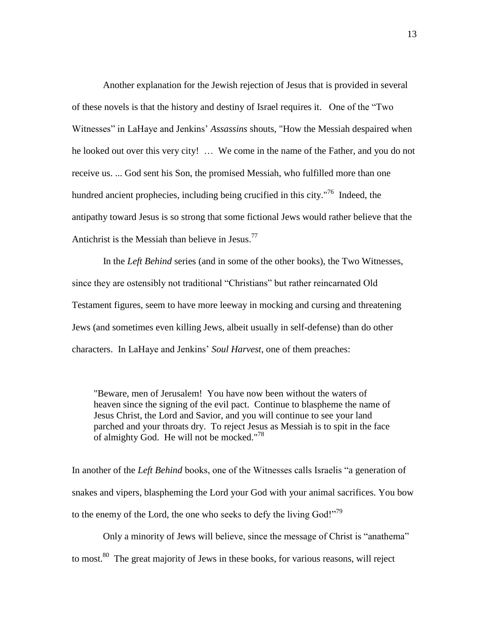Another explanation for the Jewish rejection of Jesus that is provided in several of these novels is that the history and destiny of Israel requires it. One of the "Two Witnesses" in LaHaye and Jenkins' *Assassins* shouts, "How the Messiah despaired when he looked out over this very city! … We come in the name of the Father, and you do not receive us. ... God sent his Son, the promised Messiah, who fulfilled more than one hundred ancient prophecies, including being crucified in this city."<sup>76</sup> Indeed, the antipathy toward Jesus is so strong that some fictional Jews would rather believe that the Antichrist is the Messiah than believe in Jesus.<sup>77</sup>

In the *Left Behind* series (and in some of the other books), the Two Witnesses, since they are ostensibly not traditional "Christians" but rather reincarnated Old Testament figures, seem to have more leeway in mocking and cursing and threatening Jews (and sometimes even killing Jews, albeit usually in self-defense) than do other characters. In LaHaye and Jenkins' *Soul Harvest*, one of them preaches:

"Beware, men of Jerusalem! You have now been without the waters of heaven since the signing of the evil pact. Continue to blaspheme the name of Jesus Christ, the Lord and Savior, and you will continue to see your land parched and your throats dry. To reject Jesus as Messiah is to spit in the face of almighty God. He will not be mocked." $78$ 

In another of the *Left Behind* books, one of the Witnesses calls Israelis "a generation of snakes and vipers, blaspheming the Lord your God with your animal sacrifices. You bow to the enemy of the Lord, the one who seeks to defy the living  $God!"^{79}$ 

Only a minority of Jews will believe, since the message of Christ is "anathema" to most.<sup>80</sup> The great majority of Jews in these books, for various reasons, will reject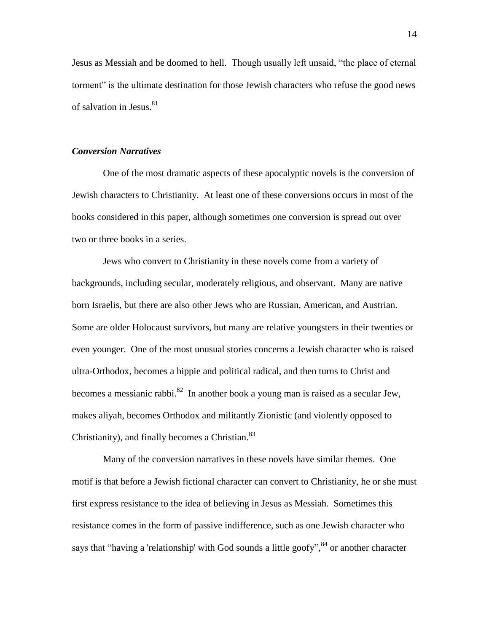Jesus as Messiah and be doomed to hell. Though usually left unsaid, "the place of eternal torment" is the ultimate destination for those Jewish characters who refuse the good news of salvation in Jesus. $81$ 

#### *Conversion Narratives*

One of the most dramatic aspects of these apocalyptic novels is the conversion of Jewish characters to Christianity. At least one of these conversions occurs in most of the books considered in this paper, although sometimes one conversion is spread out over two or three books in a series.

Jews who convert to Christianity in these novels come from a variety of backgrounds, including secular, moderately religious, and observant. Many are native born Israelis, but there are also other Jews who are Russian, American, and Austrian. Some are older Holocaust survivors, but many are relative youngsters in their twenties or even younger. One of the most unusual stories concerns a Jewish character who is raised ultra-Orthodox, becomes a hippie and political radical, and then turns to Christ and becomes a messianic rabbi.<sup>82</sup> In another book a young man is raised as a secular Jew, makes aliyah, becomes Orthodox and militantly Zionistic (and violently opposed to Christianity), and finally becomes a Christian.<sup>83</sup>

Many of the conversion narratives in these novels have similar themes. One motif is that before a Jewish fictional character can convert to Christianity, he or she must first express resistance to the idea of believing in Jesus as Messiah. Sometimes this resistance comes in the form of passive indifference, such as one Jewish character who says that "having a 'relationship' with God sounds a little goofy",<sup>84</sup> or another character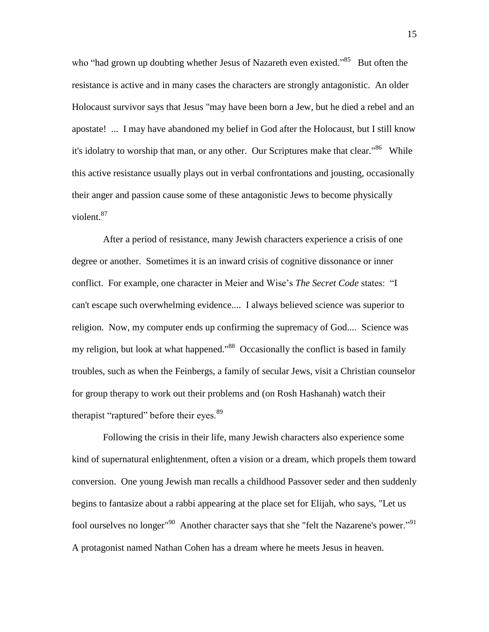who "had grown up doubting whether Jesus of Nazareth even existed."<sup>85</sup> But often the resistance is active and in many cases the characters are strongly antagonistic. An older Holocaust survivor says that Jesus "may have been born a Jew, but he died a rebel and an apostate! ... I may have abandoned my belief in God after the Holocaust, but I still know it's idolatry to worship that man, or any other. Our Scriptures make that clear."<sup>86</sup> While this active resistance usually plays out in verbal confrontations and jousting, occasionally their anger and passion cause some of these antagonistic Jews to become physically violent.<sup>87</sup>

After a period of resistance, many Jewish characters experience a crisis of one degree or another. Sometimes it is an inward crisis of cognitive dissonance or inner conflict. For example, one character in Meier and Wise's *The Secret Code* states: "I can't escape such overwhelming evidence.... I always believed science was superior to religion. Now, my computer ends up confirming the supremacy of God.... Science was my religion, but look at what happened."<sup>88</sup> Occasionally the conflict is based in family troubles, such as when the Feinbergs, a family of secular Jews, visit a Christian counselor for group therapy to work out their problems and (on Rosh Hashanah) watch their therapist "raptured" before their eyes.<sup>89</sup>

Following the crisis in their life, many Jewish characters also experience some kind of supernatural enlightenment, often a vision or a dream, which propels them toward conversion. One young Jewish man recalls a childhood Passover seder and then suddenly begins to fantasize about a rabbi appearing at the place set for Elijah, who says, "Let us fool ourselves no longer<sup>"90</sup> Another character says that she "felt the Nazarene's power."<sup>91</sup> A protagonist named Nathan Cohen has a dream where he meets Jesus in heaven.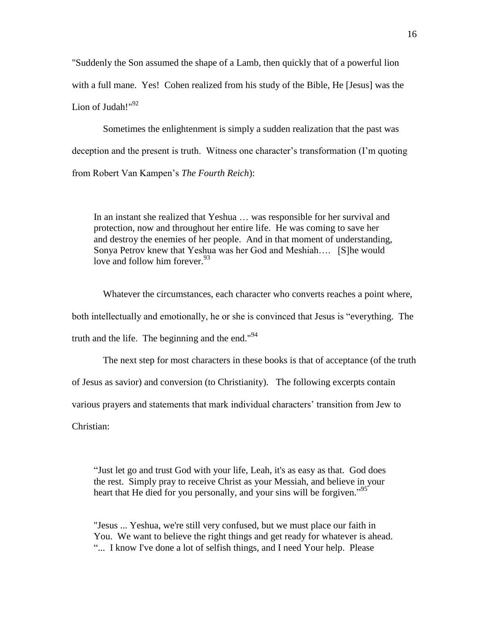"Suddenly the Son assumed the shape of a Lamb, then quickly that of a powerful lion with a full mane. Yes! Cohen realized from his study of the Bible, He [Jesus] was the Lion of Judah!"<sup>92</sup>

Sometimes the enlightenment is simply a sudden realization that the past was deception and the present is truth. Witness one character's transformation (I'm quoting from Robert Van Kampen's *The Fourth Reich*):

In an instant she realized that Yeshua … was responsible for her survival and protection, now and throughout her entire life. He was coming to save her and destroy the enemies of her people. And in that moment of understanding, Sonya Petrov knew that Yeshua was her God and Meshiah…. [S]he would love and follow him forever.<sup>93</sup>

Whatever the circumstances, each character who converts reaches a point where, both intellectually and emotionally, he or she is convinced that Jesus is "everything. The truth and the life. The beginning and the end." $94$ 

The next step for most characters in these books is that of acceptance (of the truth of Jesus as savior) and conversion (to Christianity). The following excerpts contain various prayers and statements that mark individual characters' transition from Jew to Christian:

"Just let go and trust God with your life, Leah, it's as easy as that. God does the rest. Simply pray to receive Christ as your Messiah, and believe in your heart that He died for you personally, and your sins will be forgiven."<sup>95</sup>

"Jesus ... Yeshua, we're still very confused, but we must place our faith in You. We want to believe the right things and get ready for whatever is ahead. "... I know I've done a lot of selfish things, and I need Your help. Please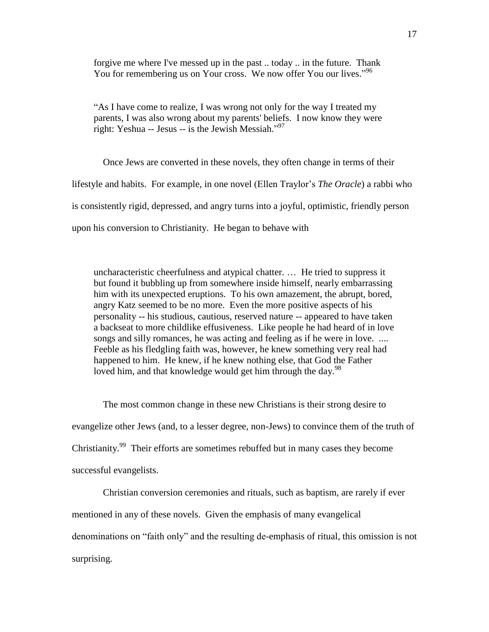forgive me where I've messed up in the past .. today .. in the future. Thank You for remembering us on Your cross. We now offer You our lives."<sup>96</sup>

"As I have come to realize, I was wrong not only for the way I treated my parents, I was also wrong about my parents' beliefs. I now know they were right: Yeshua -- Jesus -- is the Jewish Messiah." 97

Once Jews are converted in these novels, they often change in terms of their lifestyle and habits. For example, in one novel (Ellen Traylor's *The Oracle*) a rabbi who is consistently rigid, depressed, and angry turns into a joyful, optimistic, friendly person upon his conversion to Christianity. He began to behave with

uncharacteristic cheerfulness and atypical chatter. … He tried to suppress it but found it bubbling up from somewhere inside himself, nearly embarrassing him with its unexpected eruptions. To his own amazement, the abrupt, bored, angry Katz seemed to be no more. Even the more positive aspects of his personality -- his studious, cautious, reserved nature -- appeared to have taken a backseat to more childlike effusiveness. Like people he had heard of in love songs and silly romances, he was acting and feeling as if he were in love. .... Feeble as his fledgling faith was, however, he knew something very real had happened to him. He knew, if he knew nothing else, that God the Father loved him, and that knowledge would get him through the day.<sup>98</sup>

The most common change in these new Christians is their strong desire to evangelize other Jews (and, to a lesser degree, non-Jews) to convince them of the truth of Christianity.<sup>99</sup> Their efforts are sometimes rebuffed but in many cases they become successful evangelists.

Christian conversion ceremonies and rituals, such as baptism, are rarely if ever mentioned in any of these novels. Given the emphasis of many evangelical denominations on "faith only" and the resulting de-emphasis of ritual, this omission is not surprising.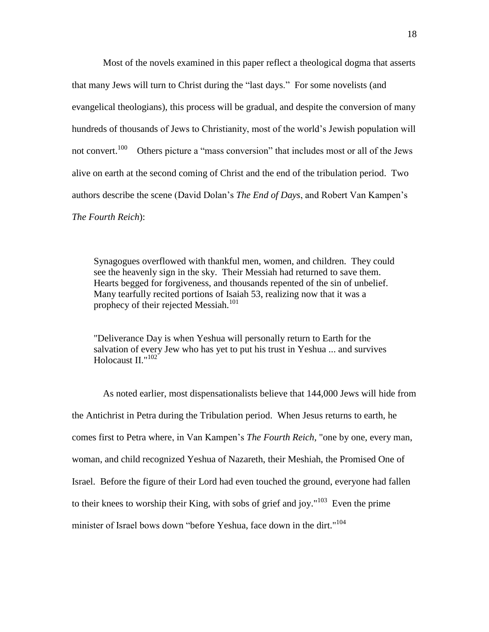Most of the novels examined in this paper reflect a theological dogma that asserts that many Jews will turn to Christ during the "last days." For some novelists (and evangelical theologians), this process will be gradual, and despite the conversion of many hundreds of thousands of Jews to Christianity, most of the world's Jewish population will not convert.<sup>100</sup> Others picture a "mass conversion" that includes most or all of the Jews alive on earth at the second coming of Christ and the end of the tribulation period. Two authors describe the scene (David Dolan's *The End of Days*, and Robert Van Kampen's *The Fourth Reich*):

Synagogues overflowed with thankful men, women, and children. They could see the heavenly sign in the sky. Their Messiah had returned to save them. Hearts begged for forgiveness, and thousands repented of the sin of unbelief. Many tearfully recited portions of Isaiah 53, realizing now that it was a prophecy of their rejected Messiah.<sup>101</sup>

"Deliverance Day is when Yeshua will personally return to Earth for the salvation of every Jew who has yet to put his trust in Yeshua ... and survives Holocaust II."<sup>102</sup>

As noted earlier, most dispensationalists believe that 144,000 Jews will hide from the Antichrist in Petra during the Tribulation period. When Jesus returns to earth, he comes first to Petra where, in Van Kampen's *The Fourth Reich*, "one by one, every man, woman, and child recognized Yeshua of Nazareth, their Meshiah, the Promised One of Israel. Before the figure of their Lord had even touched the ground, everyone had fallen to their knees to worship their King, with sobs of grief and joy."<sup>103</sup> Even the prime minister of Israel bows down "before Yeshua, face down in the dirt."<sup>104</sup>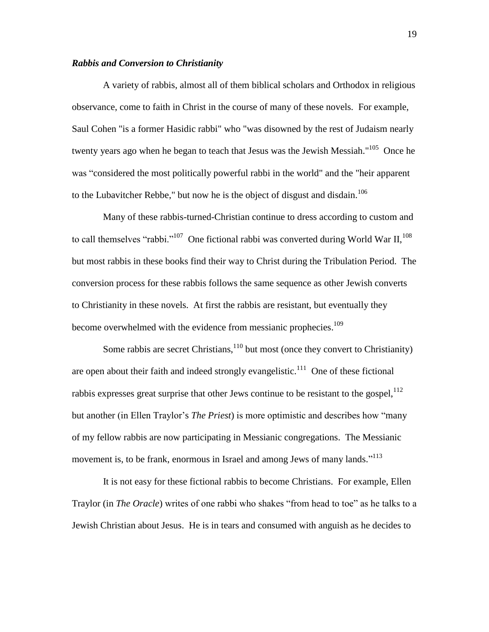# *Rabbis and Conversion to Christianity*

A variety of rabbis, almost all of them biblical scholars and Orthodox in religious observance, come to faith in Christ in the course of many of these novels. For example, Saul Cohen "is a former Hasidic rabbi" who "was disowned by the rest of Judaism nearly twenty years ago when he began to teach that Jesus was the Jewish Messiah."<sup>105</sup> Once he was "considered the most politically powerful rabbi in the world" and the "heir apparent to the Lubavitcher Rebbe," but now he is the object of disgust and disdain.<sup>106</sup>

Many of these rabbis-turned-Christian continue to dress according to custom and to call themselves "rabbi."<sup>107</sup> One fictional rabbi was converted during World War II,<sup>108</sup> but most rabbis in these books find their way to Christ during the Tribulation Period. The conversion process for these rabbis follows the same sequence as other Jewish converts to Christianity in these novels. At first the rabbis are resistant, but eventually they become overwhelmed with the evidence from messianic prophecies.<sup>109</sup>

Some rabbis are secret Christians, $110$  but most (once they convert to Christianity) are open about their faith and indeed strongly evangelistic.<sup>111</sup> One of these fictional rabbis expresses great surprise that other Jews continue to be resistant to the gospel,  $^{112}$ but another (in Ellen Traylor's *The Priest*) is more optimistic and describes how "many of my fellow rabbis are now participating in Messianic congregations. The Messianic movement is, to be frank, enormous in Israel and among Jews of many lands."<sup>113</sup>

It is not easy for these fictional rabbis to become Christians. For example, Ellen Traylor (in *The Oracle*) writes of one rabbi who shakes "from head to toe" as he talks to a Jewish Christian about Jesus. He is in tears and consumed with anguish as he decides to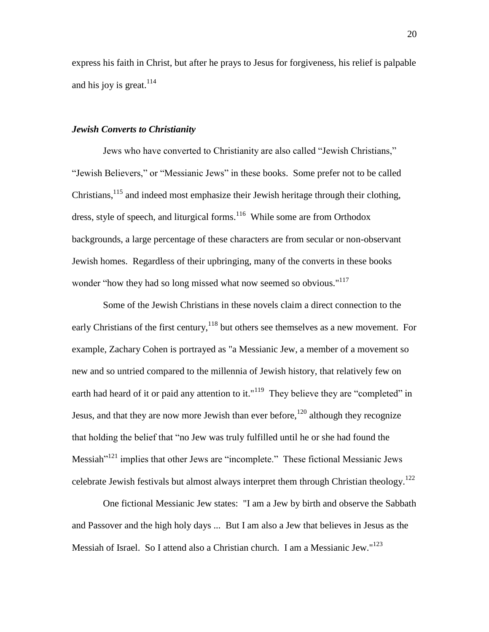express his faith in Christ, but after he prays to Jesus for forgiveness, his relief is palpable and his joy is great.<sup>114</sup>

### *Jewish Converts to Christianity*

Jews who have converted to Christianity are also called "Jewish Christians," "Jewish Believers," or "Messianic Jews" in these books. Some prefer not to be called Christians,  $^{115}$  and indeed most emphasize their Jewish heritage through their clothing, dress, style of speech, and liturgical forms.<sup>116</sup> While some are from Orthodox backgrounds, a large percentage of these characters are from secular or non-observant Jewish homes. Regardless of their upbringing, many of the converts in these books wonder "how they had so long missed what now seemed so obvious."<sup>117</sup>

Some of the Jewish Christians in these novels claim a direct connection to the early Christians of the first century,  $118$  but others see themselves as a new movement. For example, Zachary Cohen is portrayed as "a Messianic Jew, a member of a movement so new and so untried compared to the millennia of Jewish history, that relatively few on earth had heard of it or paid any attention to it."<sup>119</sup> They believe they are "completed" in Jesus, and that they are now more Jewish than ever before,<sup>120</sup> although they recognize that holding the belief that "no Jew was truly fulfilled until he or she had found the Messiah"<sup>121</sup> implies that other Jews are "incomplete." These fictional Messianic Jews celebrate Jewish festivals but almost always interpret them through Christian theology.<sup>122</sup>

One fictional Messianic Jew states: "I am a Jew by birth and observe the Sabbath and Passover and the high holy days ... But I am also a Jew that believes in Jesus as the Messiah of Israel. So I attend also a Christian church. I am a Messianic Jew."<sup>123</sup>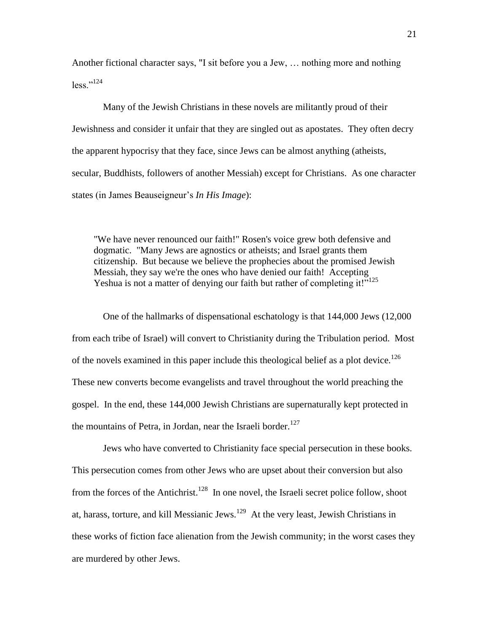Another fictional character says, "I sit before you a Jew, … nothing more and nothing  $less$ "<sup>124</sup>

Many of the Jewish Christians in these novels are militantly proud of their Jewishness and consider it unfair that they are singled out as apostates. They often decry the apparent hypocrisy that they face, since Jews can be almost anything (atheists, secular, Buddhists, followers of another Messiah) except for Christians. As one character states (in James Beauseigneur's *In His Image*):

"We have never renounced our faith!" Rosen's voice grew both defensive and dogmatic. "Many Jews are agnostics or atheists; and Israel grants them citizenship. But because we believe the prophecies about the promised Jewish Messiah, they say we're the ones who have denied our faith! Accepting Yeshua is not a matter of denying our faith but rather of completing it!"<sup>125</sup>

One of the hallmarks of dispensational eschatology is that 144,000 Jews (12,000 from each tribe of Israel) will convert to Christianity during the Tribulation period. Most of the novels examined in this paper include this theological belief as a plot device.<sup>126</sup> These new converts become evangelists and travel throughout the world preaching the gospel. In the end, these 144,000 Jewish Christians are supernaturally kept protected in the mountains of Petra, in Jordan, near the Israeli border.<sup>127</sup>

Jews who have converted to Christianity face special persecution in these books. This persecution comes from other Jews who are upset about their conversion but also from the forces of the Antichrist.<sup>128</sup> In one novel, the Israeli secret police follow, shoot at, harass, torture, and kill Messianic Jews.<sup>129</sup> At the very least, Jewish Christians in these works of fiction face alienation from the Jewish community; in the worst cases they are murdered by other Jews.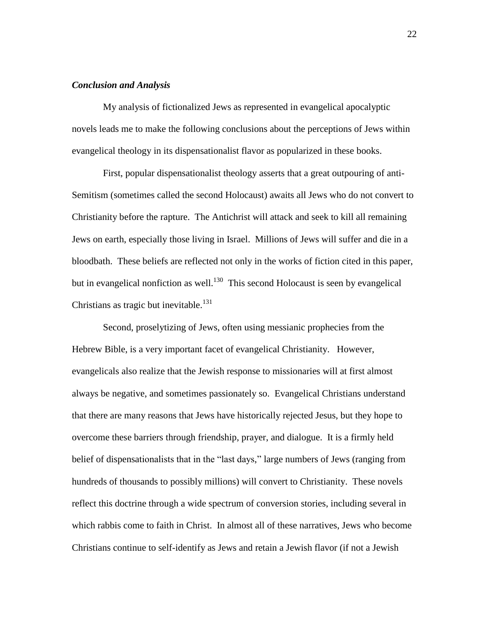# *Conclusion and Analysis*

My analysis of fictionalized Jews as represented in evangelical apocalyptic novels leads me to make the following conclusions about the perceptions of Jews within evangelical theology in its dispensationalist flavor as popularized in these books.

First, popular dispensationalist theology asserts that a great outpouring of anti-Semitism (sometimes called the second Holocaust) awaits all Jews who do not convert to Christianity before the rapture. The Antichrist will attack and seek to kill all remaining Jews on earth, especially those living in Israel. Millions of Jews will suffer and die in a bloodbath. These beliefs are reflected not only in the works of fiction cited in this paper, but in evangelical nonfiction as well.<sup>130</sup> This second Holocaust is seen by evangelical Christians as tragic but inevitable.<sup>131</sup>

Second, proselytizing of Jews, often using messianic prophecies from the Hebrew Bible, is a very important facet of evangelical Christianity. However, evangelicals also realize that the Jewish response to missionaries will at first almost always be negative, and sometimes passionately so. Evangelical Christians understand that there are many reasons that Jews have historically rejected Jesus, but they hope to overcome these barriers through friendship, prayer, and dialogue. It is a firmly held belief of dispensationalists that in the "last days," large numbers of Jews (ranging from hundreds of thousands to possibly millions) will convert to Christianity. These novels reflect this doctrine through a wide spectrum of conversion stories, including several in which rabbis come to faith in Christ. In almost all of these narratives, Jews who become Christians continue to self-identify as Jews and retain a Jewish flavor (if not a Jewish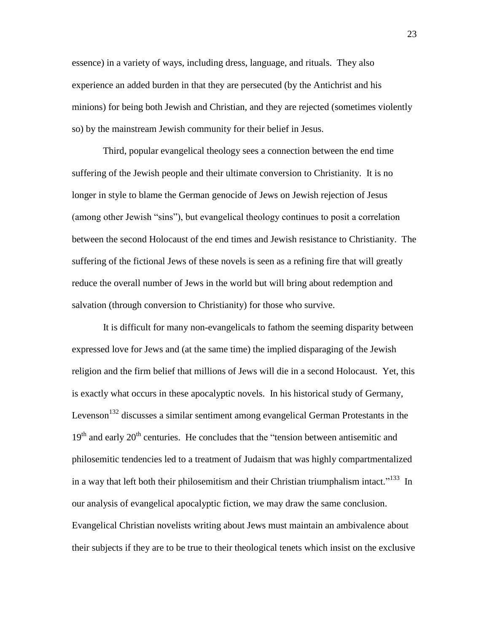essence) in a variety of ways, including dress, language, and rituals. They also experience an added burden in that they are persecuted (by the Antichrist and his minions) for being both Jewish and Christian, and they are rejected (sometimes violently so) by the mainstream Jewish community for their belief in Jesus.

Third, popular evangelical theology sees a connection between the end time suffering of the Jewish people and their ultimate conversion to Christianity. It is no longer in style to blame the German genocide of Jews on Jewish rejection of Jesus (among other Jewish "sins"), but evangelical theology continues to posit a correlation between the second Holocaust of the end times and Jewish resistance to Christianity. The suffering of the fictional Jews of these novels is seen as a refining fire that will greatly reduce the overall number of Jews in the world but will bring about redemption and salvation (through conversion to Christianity) for those who survive.

It is difficult for many non-evangelicals to fathom the seeming disparity between expressed love for Jews and (at the same time) the implied disparaging of the Jewish religion and the firm belief that millions of Jews will die in a second Holocaust. Yet, this is exactly what occurs in these apocalyptic novels. In his historical study of Germany, Levenson<sup>132</sup> discusses a similar sentiment among evangelical German Protestants in the  $19<sup>th</sup>$  and early  $20<sup>th</sup>$  centuries. He concludes that the "tension between antisemitic and philosemitic tendencies led to a treatment of Judaism that was highly compartmentalized in a way that left both their philosemitism and their Christian triumphalism intact."<sup>133</sup> In our analysis of evangelical apocalyptic fiction, we may draw the same conclusion. Evangelical Christian novelists writing about Jews must maintain an ambivalence about their subjects if they are to be true to their theological tenets which insist on the exclusive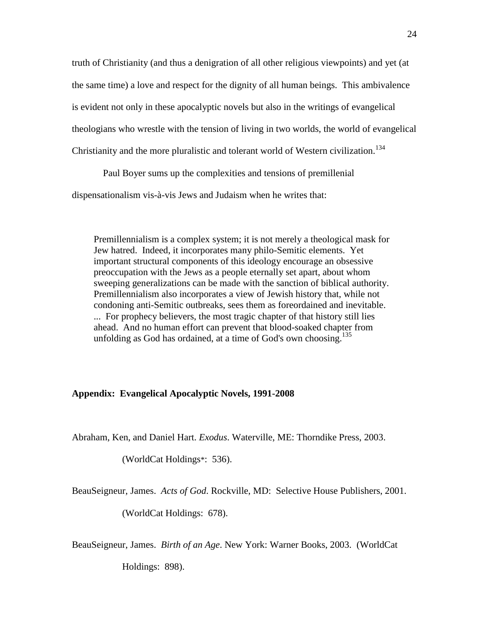truth of Christianity (and thus a denigration of all other religious viewpoints) and yet (at the same time) a love and respect for the dignity of all human beings. This ambivalence is evident not only in these apocalyptic novels but also in the writings of evangelical theologians who wrestle with the tension of living in two worlds, the world of evangelical Christianity and the more pluralistic and tolerant world of Western civilization.<sup>134</sup>

Paul Boyer sums up the complexities and tensions of premillenial

dispensationalism vis-à-vis Jews and Judaism when he writes that:

Premillennialism is a complex system; it is not merely a theological mask for Jew hatred. Indeed, it incorporates many philo-Semitic elements. Yet important structural components of this ideology encourage an obsessive preoccupation with the Jews as a people eternally set apart, about whom sweeping generalizations can be made with the sanction of biblical authority. Premillennialism also incorporates a view of Jewish history that, while not condoning anti-Semitic outbreaks, sees them as foreordained and inevitable. ... For prophecy believers, the most tragic chapter of that history still lies ahead. And no human effort can prevent that blood-soaked chapter from unfolding as God has ordained, at a time of God's own choosing.<sup>135</sup>

#### **Appendix: Evangelical Apocalyptic Novels, 1991-2008**

Abraham, Ken, and Daniel Hart. *Exodus*. Waterville, ME: Thorndike Press, 2003.

(WorldCat Holdings\*: 536).

BeauSeigneur, James. *Acts of God*. Rockville, MD: Selective House Publishers, 2001.

(WorldCat Holdings: 678).

BeauSeigneur, James. *Birth of an Age*. New York: Warner Books, 2003. (WorldCat

Holdings: 898).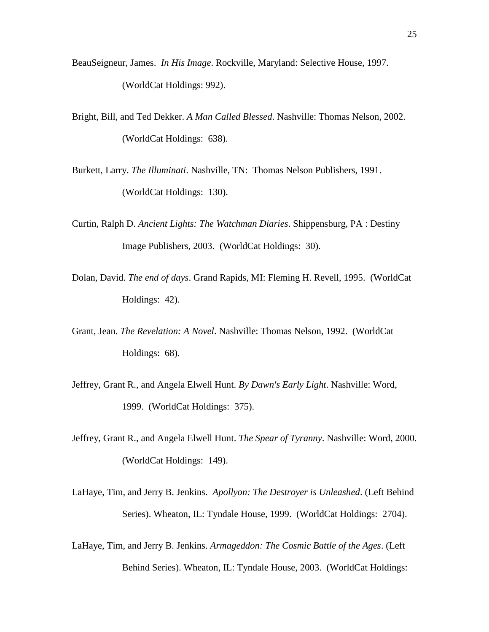- BeauSeigneur, James. *In His Image*. Rockville, Maryland: Selective House, 1997. (WorldCat Holdings: 992).
- Bright, Bill, and Ted Dekker. *A Man Called Blessed*. Nashville: Thomas Nelson, 2002. (WorldCat Holdings: 638).
- Burkett, Larry. *The Illuminati*. Nashville, TN: Thomas Nelson Publishers, 1991. (WorldCat Holdings: 130).
- Curtin, Ralph D. *Ancient Lights: The Watchman Diaries*. Shippensburg, PA : Destiny Image Publishers, 2003. (WorldCat Holdings: 30).
- Dolan, David. *The end of days*. Grand Rapids, MI: Fleming H. Revell, 1995. (WorldCat Holdings: 42).
- Grant, Jean. *The Revelation: A Novel*. Nashville: Thomas Nelson, 1992. (WorldCat Holdings: 68).
- Jeffrey, Grant R., and Angela Elwell Hunt. *By Dawn's Early Light*. Nashville: Word, 1999. (WorldCat Holdings: 375).
- Jeffrey, Grant R., and Angela Elwell Hunt. *The Spear of Tyranny*. Nashville: Word, 2000. (WorldCat Holdings: 149).
- LaHaye, Tim, and Jerry B. Jenkins. *Apollyon: The Destroyer is Unleashed*. (Left Behind Series). Wheaton, IL: Tyndale House, 1999. (WorldCat Holdings: 2704).
- LaHaye, Tim, and Jerry B. Jenkins. *Armageddon: The Cosmic Battle of the Ages*. (Left Behind Series). Wheaton, IL: Tyndale House, 2003. (WorldCat Holdings: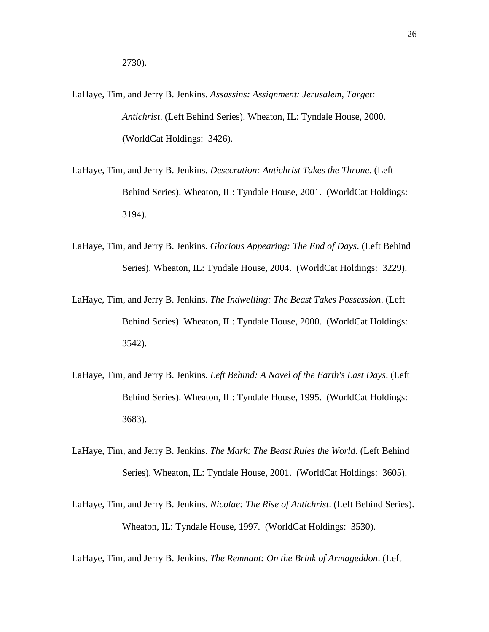- LaHaye, Tim, and Jerry B. Jenkins. *Assassins: Assignment: Jerusalem, Target: Antichrist*. (Left Behind Series). Wheaton, IL: Tyndale House, 2000. (WorldCat Holdings: 3426).
- LaHaye, Tim, and Jerry B. Jenkins. *Desecration: Antichrist Takes the Throne*. (Left Behind Series). Wheaton, IL: Tyndale House, 2001. (WorldCat Holdings: 3194).
- LaHaye, Tim, and Jerry B. Jenkins. *Glorious Appearing: The End of Days*. (Left Behind Series). Wheaton, IL: Tyndale House, 2004. (WorldCat Holdings: 3229).
- LaHaye, Tim, and Jerry B. Jenkins. *The Indwelling: The Beast Takes Possession*. (Left Behind Series). Wheaton, IL: Tyndale House, 2000. (WorldCat Holdings: 3542).
- LaHaye, Tim, and Jerry B. Jenkins. *Left Behind: A Novel of the Earth's Last Days*. (Left Behind Series). Wheaton, IL: Tyndale House, 1995. (WorldCat Holdings: 3683).
- LaHaye, Tim, and Jerry B. Jenkins. *The Mark: The Beast Rules the World*. (Left Behind Series). Wheaton, IL: Tyndale House, 2001. (WorldCat Holdings: 3605).
- LaHaye, Tim, and Jerry B. Jenkins. *Nicolae: The Rise of Antichrist*. (Left Behind Series). Wheaton, IL: Tyndale House, 1997. (WorldCat Holdings: 3530).

LaHaye, Tim, and Jerry B. Jenkins. *The Remnant: On the Brink of Armageddon*. (Left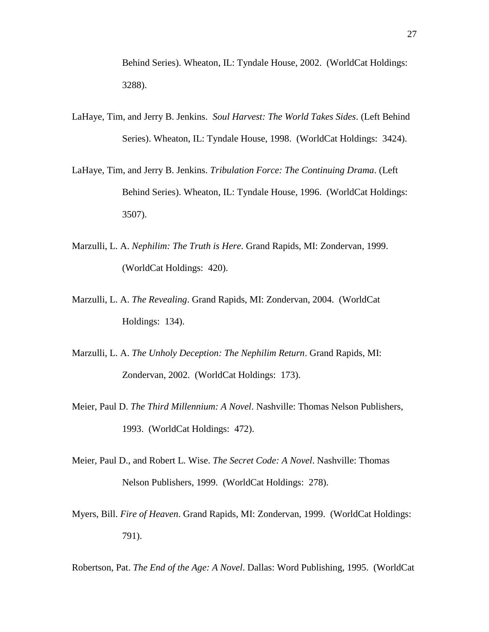Behind Series). Wheaton, IL: Tyndale House, 2002. (WorldCat Holdings: 3288).

- LaHaye, Tim, and Jerry B. Jenkins. *Soul Harvest: The World Takes Sides*. (Left Behind Series). Wheaton, IL: Tyndale House, 1998. (WorldCat Holdings: 3424).
- LaHaye, Tim, and Jerry B. Jenkins. *Tribulation Force: The Continuing Drama*. (Left Behind Series). Wheaton, IL: Tyndale House, 1996. (WorldCat Holdings: 3507).
- Marzulli, L. A. *Nephilim: The Truth is Here*. Grand Rapids, MI: Zondervan, 1999. (WorldCat Holdings: 420).
- Marzulli, L. A. *The Revealing*. Grand Rapids, MI: Zondervan, 2004. (WorldCat Holdings: 134).
- Marzulli, L. A. *The Unholy Deception: The Nephilim Return*. Grand Rapids, MI: Zondervan, 2002. (WorldCat Holdings: 173).
- Meier, Paul D. *The Third Millennium: A Novel*. Nashville: Thomas Nelson Publishers, 1993. (WorldCat Holdings: 472).
- Meier, Paul D., and Robert L. Wise. *The Secret Code: A Novel*. Nashville: Thomas Nelson Publishers, 1999. (WorldCat Holdings: 278).
- Myers, Bill. *Fire of Heaven*. Grand Rapids, MI: Zondervan, 1999. (WorldCat Holdings: 791).

Robertson, Pat. *The End of the Age: A Novel*. Dallas: Word Publishing, 1995. (WorldCat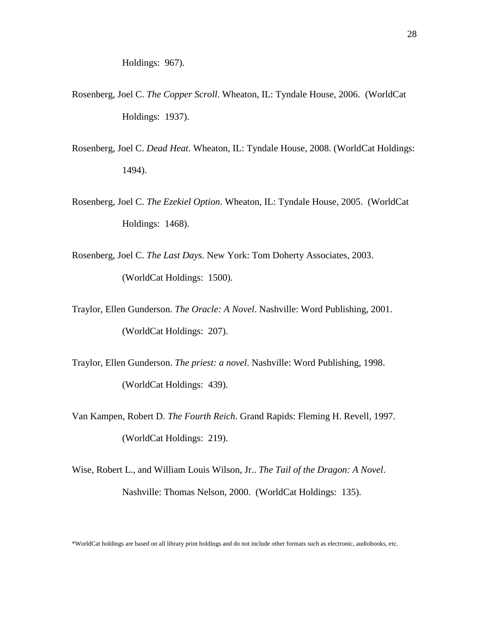- Rosenberg, Joel C. *The Copper Scroll*. Wheaton, IL: Tyndale House, 2006. (WorldCat Holdings: 1937).
- Rosenberg, Joel C. *Dead Heat*. Wheaton, IL: Tyndale House, 2008. (WorldCat Holdings: 1494).
- Rosenberg, Joel C. *The Ezekiel Option*. Wheaton, IL: Tyndale House, 2005. (WorldCat Holdings: 1468).
- Rosenberg, Joel C. *The Last Days*. New York: Tom Doherty Associates, 2003. (WorldCat Holdings: 1500).
- Traylor, Ellen Gunderson. *The Oracle: A Novel*. Nashville: Word Publishing, 2001. (WorldCat Holdings: 207).
- Traylor, Ellen Gunderson. *The priest: a novel*. Nashville: Word Publishing, 1998. (WorldCat Holdings: 439).
- Van Kampen, Robert D. *The Fourth Reich*. Grand Rapids: Fleming H. Revell, 1997. (WorldCat Holdings: 219).
- Wise, Robert L., and William Louis Wilson, Jr.. *The Tail of the Dragon: A Novel*. Nashville: Thomas Nelson, 2000. (WorldCat Holdings: 135).

\*WorldCat holdings are based on all library print holdings and do not include other formats such as electronic, audiobooks, etc.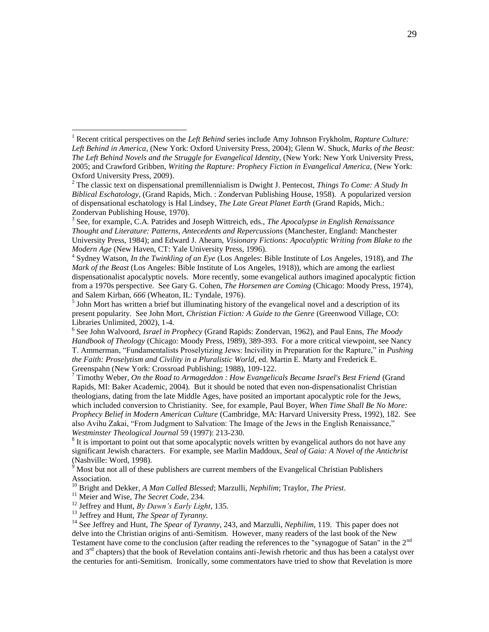4 Sydney Watson, *In the Twinkling of an Eye* (Los Angeles: Bible Institute of Los Angeles, 1918), and *The Mark of the Beast* (Los Angeles: Bible Institute of Los Angeles, 1918)), which are among the earliest dispensationalist apocalyptic novels. More recently, some evangelical authors imagined apocalyptic fiction from a 1970s perspective. See Gary G. Cohen, *The Horsemen are Coming* (Chicago: Moody Press, 1974), and Salem Kirban, *666* (Wheaton, IL: Tyndale, 1976).

 $<sup>5</sup>$  John Mort has written a brief but illuminating history of the evangelical novel and a description of its</sup> present popularity. See John Mort, *Christian Fiction: A Guide to the Genre* (Greenwood Village, CO: Libraries Unlimited, 2002), 1-4.

6 See John Walvoord, *Israel in Prophecy* (Grand Rapids: Zondervan, 1962), and Paul Enns, *The Moody Handbook of Theology* (Chicago: Moody Press, 1989), 389-393. For a more critical viewpoint, see Nancy T. Ammerman, "Fundamentalists Proselytizing Jews: Incivility in Preparation for the Rapture," in *Pushing the Faith: Proselytism and Civility in a Pluralistic World*, ed. Martin E. Marty and Frederick E. Greenspahn (New York: Crossroad Publishing; 1988), 109-122.

<sup>7</sup> Timothy Weber, *On the Road to Armageddon : How Evangelicals Became Israel's Best Friend* (Grand Rapids, MI: Baker Academic, 2004). But it should be noted that even non-dispensationalist Christian theologians, dating from the late Middle Ages, have posited an important apocalyptic role for the Jews, which included conversion to Christianity. See, for example, Paul Boyer, *When Time Shall Be No More: Prophecy Belief in Modern American Culture* (Cambridge, MA: Harvard University Press, 1992), 182. See also Avihu Zakai, "From Judgment to Salvation: The Image of the Jews in the English Renaissance," *Westminster Theological Journal* 59 (1997): 213-230.

 $8$  It is important to point out that some apocalyptic novels written by evangelical authors do not have any significant Jewish characters. For example, see Marlin Maddoux, *Seal of Gaia: A Novel of the Antichrist* (Nashville: Word, 1998).

 $9 \text{ Most but not all of these publishers are current members of the Evangelical Christian Publishers}$ Association.

<sup>10</sup> Bright and Dekker, *A Man Called Blessed*; Marzulli, *Nephilim*; Traylor, *The Priest*.

<sup>11</sup> Meier and Wise, *The Secret Code*, 234.

 $\overline{a}$ 

<sup>12</sup> Jeffrey and Hunt, *By Dawn's Early Light*, 135.

<sup>13</sup> Jeffrey and Hunt, *The Spear of Tyranny.*

<sup>14</sup> See Jeffrey and Hunt, *The Spear of Tyranny*, 243, and Marzulli, *Nephilim*, 119. This paper does not delve into the Christian origins of anti-Semitism. However, many readers of the last book of the New Testament have come to the conclusion (after reading the references to the "synagogue of Satan" in the  $2<sup>nd</sup>$ and 3<sup>rd</sup> chapters) that the book of Revelation contains anti-Jewish rhetoric and thus has been a catalyst over the centuries for anti-Semitism. Ironically, some commentators have tried to show that Revelation is more

<sup>1</sup> Recent critical perspectives on the *Left Behind* series include Amy Johnson Frykholm, *Rapture Culture: Left Behind in America*, (New York: Oxford University Press, 2004); Glenn W. Shuck, *Marks of the Beast: The Left Behind Novels and the Struggle for Evangelical Identity*, (New York: New York University Press, 2005; and Crawford Gribben, *Writing the Rapture: Prophecy Fiction in Evangelical America*, (New York: Oxford University Press, 2009).

<sup>2</sup> The classic text on dispensational premillennialism is Dwight J. Pentecost, *Things To Come: A Study In Biblical Eschatology,* (Grand Rapids, Mich. : Zondervan Publishing House, 1958). A popularized version of dispensational eschatology is Hal Lindsey, *The Late Great Planet Earth* (Grand Rapids, Mich.: Zondervan Publishing House, 1970).

<sup>3</sup> See, for example, C.A. Patrides and Joseph Wittreich, eds., *The Apocalypse in English Renaissance Thought and Literature: Patterns, Antecedents and Repercussions* (Manchester, England: Manchester University Press, 1984); and Edward J. Ahearn, *Visionary Fictions: Apocalyptic Writing from Blake to the Modern Age* (New Haven, CT: Yale University Press, 1996).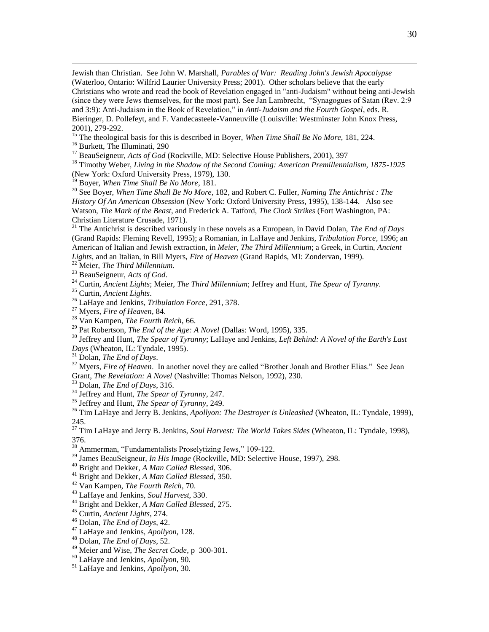Jewish than Christian. See John W. Marshall, *Parables of War: Reading John's Jewish Apocalypse* (Waterloo, Ontario: Wilfrid Laurier University Press; 2001). Other scholars believe that the early Christians who wrote and read the book of Revelation engaged in "anti-Judaism" without being anti-Jewish (since they were Jews themselves, for the most part). See Jan Lambrecht, "Synagogues of Satan (Rev. 2:9 and 3:9): Anti-Judaism in the Book of Revelation," in *Anti-Judaism and the Fourth Gospel*, eds. R. Bieringer, D. Pollefeyt, and F. Vandecasteele-Vanneuville (Louisville: Westminster John Knox Press, 2001), 279-292.

<sup>15</sup> The theological basis for this is described in Boyer, *When Time Shall Be No More*, 181, 224.

Burkett, The Illuminati, 290

 $\overline{a}$ 

BeauSeigneur, *Acts of God* (Rockville, MD: Selective House Publishers, 2001), 397

 Timothy Weber, *Living in the Shadow of the Second Coming: American Premillennialism, 1875-1925* (New York: Oxford University Press, 1979), 130.

Boyer, *When Time Shall Be No More*, 181.

 See Boyer, *When Time Shall Be No More*, 182, and Robert C. Fuller, *Naming The Antichrist : The History Of An American Obsession* (New York: Oxford University Press, 1995), 138-144. Also see Watson, *The Mark of the Beast*, and Frederick A. Tatford, *The Clock Strikes* (Fort Washington, PA: Christian Literature Crusade, 1971).

 The Antichrist is described variously in these novels as a European, in David Dolan, *The End of Days* (Grand Rapids: Fleming Revell, 1995); a Romanian, in LaHaye and Jenkins, *Tribulation Force*, 1996; an American of Italian and Jewish extraction, in *Meier, The Third Millennium*; a Greek, in Curtin, *Ancient Lights*, and an Italian, in Bill Myers, *Fire of Heaven* (Grand Rapids, MI: Zondervan, 1999).

Meier, *The Third Millennium*.

BeauSeigneur, *Acts of God*.

Curtin, *Ancient Lights*; Meier, *The Third Millennium*; Jeffrey and Hunt, *The Spear of Tyranny.*

Curtin, *Ancient Lights*.

LaHaye and Jenkins, *Tribulation Force*, 291, 378.

Myers, *Fire of Heaven*, 84.

Van Kampen, *The Fourth Reich*, 66.

Pat Robertson, *The End of the Age: A Novel* (Dallas: Word, 1995), 335.

 Jeffrey and Hunt, *The Spear of Tyranny*; LaHaye and Jenkins, *Left Behind: A Novel of the Earth's Last Days* (Wheaton, IL: Tyndale, 1995).

Dolan, *The End of Days*.

<sup>32</sup> Myers, *Fire of Heaven*. In another novel they are called "Brother Jonah and Brother Elias." See Jean Grant, *The Revelation: A Novel* (Nashville: Thomas Nelson, 1992), 230.

Dolan, *The End of Days*, 316.

Jeffrey and Hunt, *The Spear of Tyranny*, 247.

Jeffrey and Hunt, *The Spear of Tyranny*, 249.

 Tim LaHaye and Jerry B. Jenkins, *Apollyon: The Destroyer is Unleashed* (Wheaton, IL: Tyndale, 1999), 245.

 Tim LaHaye and Jerry B. Jenkins, *Soul Harvest: The World Takes Sides* (Wheaton, IL: Tyndale, 1998), 376.

<sup>38</sup> Ammerman, "Fundamentalists Proselytizing Jews," 109-122.

James BeauSeigneur, *In His Image* (Rockville, MD: Selective House, 1997), 298.

Bright and Dekker, *A Man Called Blessed*, 306.

Bright and Dekker, *A Man Called Blessed*, 350.

Van Kampen, *The Fourth Reich*, 70.

LaHaye and Jenkins*, Soul Harvest*, 330.

Bright and Dekker, *A Man Called Blessed*, 275.

Curtin, *Ancient Lights*, 274.

Dolan, *The End of Days*, 42.

LaHaye and Jenkins, *Apollyon*, 128.

Dolan, *The End of Days*, 52.

Meier and Wise, *The Secret Code*, p 300-301.

LaHaye and Jenkins, *Apollyon*, 90.

LaHaye and Jenkins, *Apollyon*, 30.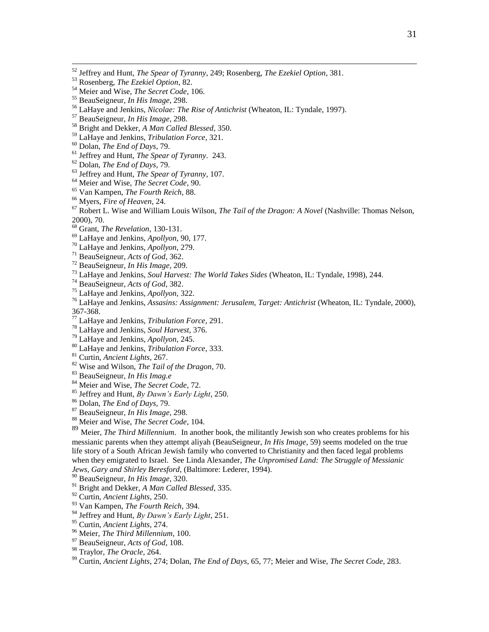$\overline{a}$ 

BeauSeigneur, *In His Image*, 298.

Bright and Dekker, *A Man Called Blessed*, 350.

LaHaye and Jenkins, *Tribulation Force*, 321.

Dolan, *The End of Days*, 79.

Jeffrey and Hunt, *The Spear of Tyranny*. 243.

Dolan, *The End of Days*, 79.

Jeffrey and Hunt, *The Spear of Tyranny*, 107.

Meier and Wise, *The Secret Code*, 90.

Van Kampen, *The Fourth Reich*, 88.

Myers, *Fire of Heaven*, 24.

 Robert L. Wise and William Louis Wilson, *The Tail of the Dragon: A Novel* (Nashville: Thomas Nelson, 2000), 70.

Grant, *The Revelation*, 130-131.

LaHaye and Jenkins, *Apollyon*, 90, 177.

LaHaye and Jenkins, *Apollyon*, 279.

BeauSeigneur, *Acts of God*, 362.

BeauSeigneur, *In His Image*, 209.

LaHaye and Jenkins, *Soul Harvest: The World Takes Sides* (Wheaton, IL: Tyndale, 1998), 244.

BeauSeigneur, *Acts of God*, 382.

LaHaye and Jenkins, *Apollyon*, 322.

 LaHaye and Jenkins, *Assasins: Assignment: Jerusalem, Target: Antichrist* (Wheaton, IL: Tyndale, 2000), 367-368.

LaHaye and Jenkins, *Tribulation Force*, 291.

LaHaye and Jenkins, *Soul Harvest*, 376.

LaHaye and Jenkins, *Apollyon*, 245.

LaHaye and Jenkins, *Tribulation Force*, 333.

Curtin, *Ancient Lights*, 267.

Wise and Wilson, *The Tail of the Dragon*, 70.

BeauSeigneur, *In His Imag.e*

Meier and Wise, *The Secret Code*, 72.

Jeffrey and Hunt, *By Dawn's Early Light*, 250.

Dolan, *The End of Days*, 79.

BeauSeigneur, *In His Image*, 298.

Meier and Wise, *The Secret Code*, 104.

 Meier, *The Third Millennium*. In another book, the militantly Jewish son who creates problems for his messianic parents when they attempt aliyah (BeauSeigneur, *In His Image*, 59) seems modeled on the true life story of a South African Jewish family who converted to Christianity and then faced legal problems when they emigrated to Israel. See Linda Alexander, *The Unpromised Land: The Struggle of Messianic Jews, Gary and Shirley Beresford*, (Baltimore: Lederer, 1994).

BeauSeigneur, *In His Image*, 320.

Bright and Dekker, *A Man Called Blessed*, 335.

Curtin, *Ancient Lights*, 250.

Van Kampen, *The Fourth Reich*, 394.

Jeffrey and Hunt, *By Dawn's Early Light*, 251.

Curtin, *Ancient Lights*, 274.

Meier, *The Third Millennium*, 100.

BeauSeigneur, *Acts of God*, 108.

Traylor, *The Oracle*, 264.

Curtin, *Ancient Lights*, 274; Dolan, *The End of Days*, 65, 77; Meier and Wise, *The Secret Code*, 283.

Jeffrey and Hunt, *The Spear of Tyranny*, 249; Rosenberg, *The Ezekiel Option*, 381.

Rosenberg, *The Ezekiel Option*, 82.

Meier and Wise, *The Secret Code*, 106.

BeauSeigneur, *In His Image*, 298.

LaHaye and Jenkins, *Nicolae: The Rise of Antichrist* (Wheaton, IL: Tyndale, 1997).